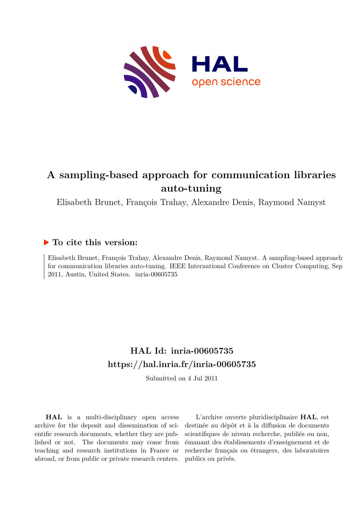

# **A sampling-based approach for communication libraries auto-tuning**

Elisabeth Brunet, François Trahay, Alexandre Denis, Raymond Namyst

# **To cite this version:**

Elisabeth Brunet, François Trahay, Alexandre Denis, Raymond Namyst. A sampling-based approach for communication libraries auto-tuning. IEEE International Conference on Cluster Computing, Sep  $2011$ , Austin, United States. inria-00605735

# **HAL Id: inria-00605735 <https://hal.inria.fr/inria-00605735>**

Submitted on 4 Jul 2011

**HAL** is a multi-disciplinary open access archive for the deposit and dissemination of scientific research documents, whether they are published or not. The documents may come from teaching and research institutions in France or abroad, or from public or private research centers.

L'archive ouverte pluridisciplinaire **HAL**, est destinée au dépôt et à la diffusion de documents scientifiques de niveau recherche, publiés ou non, émanant des établissements d'enseignement et de recherche français ou étrangers, des laboratoires publics ou privés.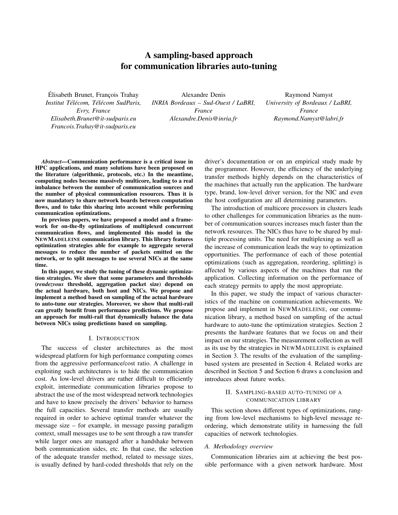# A sampling-based approach for communication libraries auto-tuning

Élisabeth Brunet, François Trahay *Institut Tel´ ecom, T ´ el´ ecom SudParis, ´ Evry, France Elisabeth.Brunet@it-sudparis.eu Francois.Trahay@it-sudparis.eu*

Alexandre Denis *INRIA Bordeaux – Sud-Ouest / LaBRI, France Alexandre.Denis@inria.fr*

Raymond Namyst *University of Bordeaux / LaBRI, France Raymond.Namyst@labri.fr*

*Abstract*—Communication performance is a critical issue in HPC applications, and many solutions have been proposed on the literature (algorithmic, protocols, etc.) In the meantime, computing nodes become massively multicore, leading to a real imbalance between the number of communication sources and the number of physical communication resources. Thus it is now mandatory to share network boards between computation flows, and to take this sharing into account while performing communication optimizations.

In previous papers, we have proposed a model and a framework for on-the-fly optimizations of multiplexed concurrent communication flows, and implemented this model in the NEWMADELEINE communication library. This library features optimization strategies able for example to aggregate several messages to reduce the number of packets emitted on the network, or to split messages to use several NICs at the same time.

In this paper, we study the tuning of these dynamic optimization strategies. We show that some parameters and thresholds (*rendezvous* threshold, aggregation packet size) depend on the actual hardware, both host and NICs. We propose and implement a method based on sampling of the actual hardware to auto-tune our strategies. Moreover, we show that multi-rail can greatly benefit from performance predictions. We propose an approach for multi-rail that dynamically balance the data between NICs using predictions based on sampling.

#### I. INTRODUCTION

The success of cluster architectures as the most widespread platform for high performance computing comes from the aggressive performance/cost ratio. A challenge in exploiting such architectures is to hide the communication cost. As low-level drivers are rather difficult to efficiently exploit, intermediate communication libraries propose to abstract the use of the most widespread network technologies and have to know precisely the drivers' behavior to harness the full capacities. Several transfer methods are usually required in order to achieve optimal transfer whatever the message size – for example, in message passing paradigm context, small messages use to be sent through a raw transfer while larger ones are managed after a handshake between both communication sides, etc. In that case, the selection of the adequate transfer method, related to message sizes, is usually defined by hard-coded thresholds that rely on the driver's documentation or on an empirical study made by the programmer. However, the efficiency of the underlying transfer methods highly depends on the characteristics of the machines that actually run the application. The hardware type, brand, low-level driver version, for the NIC and even the host configuration are all determining parameters.

The introduction of multicore processors in clusters leads to other challenges for communication libraries as the number of communication sources increases much faster than the network resources. The NICs thus have to be shared by multiple processing units. The need for multiplexing as well as the increase of communication leads the way to optimization opportunities. The performance of each of those potential optimizations (such as aggregation, reordering, splitting) is affected by various aspects of the machines that run the application. Collecting information on the performance of each strategy permits to apply the most appropriate.

In this paper, we study the impact of various characteristics of the machine on communication achievements. We propose and implement in NEWMADELEINE, our communication library, a method based on sampling of the actual hardware to auto-tune the optimization strategies. Section 2 presents the hardware features that we focus on and their impact on our strategies. The measurement collection as well as its use by the strategies in NEWMADELEINE is explained in Section 3. The results of the evaluation of the samplingbased system are presented in Section 4. Related works are described in Section 5 and Section 6 draws a conclusion and introduces about future works.

# II. SAMPLING-BASED AUTO-TUNING OF A COMMUNICATION LIBRARY

This section shows different types of optimizations, ranging from low-level mechanisms to high-level message reordering, which demonstrate utility in harnessing the full capacities of network technologies.

#### *A. Methodology overview*

Communication libraries aim at achieving the best possible performance with a given network hardware. Most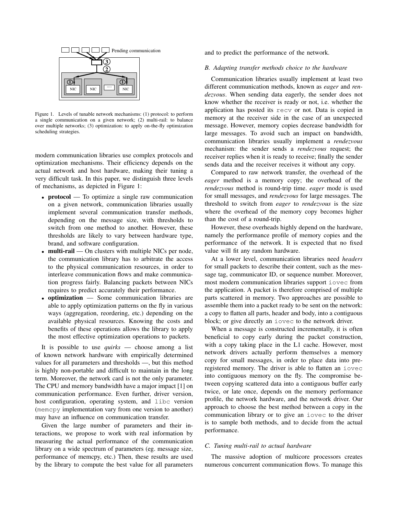

Figure 1. Levels of tunable network mechanisms: (1) protocol: to perform a single communication on a given network; (2) multi-rail: to balance over multiple networks; (3) optimization: to apply on-the-fly optimization scheduling strategies.

modern communication libraries use complex protocols and optimization mechanisms. Their efficiency depends on the actual network and host hardware, making their tuning a very difficult task. In this paper, we distinguish three levels of mechanisms, as depicted in Figure 1:

- **protocol** To optimize a single raw communication on a given network, communication libraries usually implement several communication transfer methods, depending on the message size, with thresholds to switch from one method to another. However, these thresholds are likely to vary between hardware type, brand, and software configuration.
- multi-rail On clusters with multiple NICs per node, the communication library has to arbitrate the access to the physical communication resources, in order to interleave communication flows and make communication progress fairly. Balancing packets between NICs requires to predict accurately their performance.
- optimization Some communication libraries are able to apply optimization patterns on the fly in various ways (aggregation, reordering, etc.) depending on the available physical resources. Knowing the costs and benefits of these operations allows the library to apply the most effective optimization operations to packets.

It is possible to use *quirks* — choose among a list of known network hardware with empirically determined values for all parameters and thresholds —, but this method is highly non-portable and difficult to maintain in the long term. Moreover, the network card is not the only parameter. The CPU and memory bandwidth have a major impact [1] on communication performance. Even further, driver version, host configuration, operating system, and libc version (memcpy implementation vary from one version to another) may have an influence on communication transfer.

Given the large number of parameters and their interactions, we propose to work with real information by measuring the actual performance of the communication library on a wide spectrum of parameters (eg. message size, performance of memcpy, etc.) Then, these results are used by the library to compute the best value for all parameters and to predict the performance of the network.

# *B. Adapting transfer methods choice to the hardware*

Communication libraries usually implement at least two different communication methods, known as *eager* and *rendezvous*. When sending data eagerly, the sender does not know whether the receiver is ready or not, i.e. whether the application has posted its recv or not. Data is copied in memory at the receiver side in the case of an unexpected message. However, memory copies decrease bandwidth for large messages. To avoid such an impact on bandwidth, communication libraries usually implement a *rendezvous* mechanism: the sender sends a *rendezvous* request; the receiver replies when it is ready to receive; finally the sender sends data and the receiver receives it without any copy.

Compared to raw network transfer, the overhead of the *eager* method is a memory copy; the overhead of the *rendezvous* method is round-trip time. *eager* mode is used for small messages, and *rendezvous* for large messages. The threshold to switch from *eager* to *rendezvous* is the size where the overhead of the memory copy becomes higher than the cost of a round-trip.

However, these overheads highly depend on the hardware, namely the performance profile of memory copies and the performance of the network. It is expected that no fixed value will fit any random hardware.

At a lower level, communication libraries need *headers* for small packets to describe their content, such as the message tag, communicator ID, or sequence number. Moreover, most modern communication libraries support iovec from the application. A packet is therefore comprised of multiple parts scattered in memory. Two approaches are possible to assemble them into a packet ready to be sent on the network: a copy to flatten all parts, header and body, into a contiguous block; or give directly an iovec to the network driver.

When a message is constructed incrementally, it is often beneficial to copy early during the packet construction, with a copy taking place in the L1 cache. However, most network drivers actually perform themselves a memory copy for small messages, in order to place data into preregistered memory. The driver is able to flatten an iovec into contiguous memory on the fly. The compromise between copying scattered data into a contiguous buffer early twice, or late once, depends on the memory performance profile, the network hardware, and the network driver. Our approach to choose the best method between a copy in the communication library or to give an iovec to the driver is to sample both methods, and to decide from the actual performance.

#### *C. Tuning multi-rail to actual hardware*

The massive adoption of multicore processors creates numerous concurrent communication flows. To manage this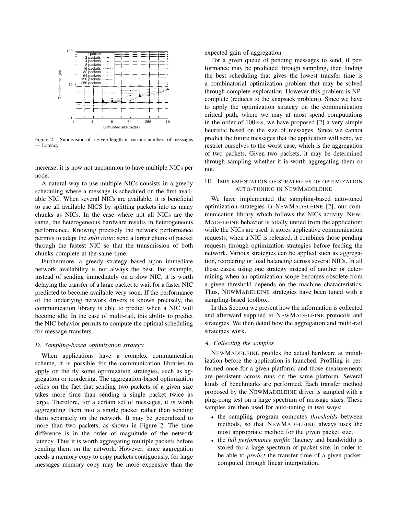

Figure 2. Subdivision of a given length in various numbers of messages — Latency.

increase, it is now not uncommon to have multiple NICs per node.

A natural way to use multiple NICs consists in a greedy scheduling where a message is scheduled on the first available NIC. When several NICs are available, it is beneficial to use all available NICS by splitting packets into as many chunks as NICs. In the case where not all NICs are the same, the heterogeneous hardware results in heterogeneous performance. Knowing precisely the network performance permits to adapt the *split ratio*: send a larger chunk of packet through the fastest NIC so that the transmission of both chunks complete at the same time.

Furthermore, a greedy strategy based upon immediate network availability is not always the best. For example, instead of sending immediately on a slow NIC, it is worth delaying the transfer of a large packet to wait for a faster NIC predicted to become available very soon. If the performance of the underlying network drivers is known precisely, the communication library is able to predict when a NIC will become idle. In the case of multi-rail, this ability to predict the NIC behavior permits to compute the optimal scheduling for message transfers.

# *D. Sampling-based optimization strategy*

When applications have a complex communication scheme, it is possible for the communication libraries to apply on the fly some optimization strategies, such as aggregation or reordering. The aggregation-based optimization relies on the fact that sending two packets of a given size takes more time than sending a single packet twice as large. Therefore, for a certain set of messages, it is worth aggregating them into a single packet rather than sending them separately on the network. It may be generalized to more than two packets, as shown in Figure 2. The time difference is in the order of magnitude of the network latency. Thus it is worth aggregating multiple packets before sending them on the network. However, since aggregation needs a memory copy to copy packets contiguously, for large messages memory copy may be more expensive than the expected gain of aggregation.

For a given queue of pending messages to send, if performance may be predicted through sampling, then finding the best scheduling that gives the lowest transfer time is a combinatorial optimization problem that may be solved through complete exploration. However this problem is NPcomplete (reduces to the knapsack problem). Since we have to apply the optimization strategy on the communication critical path, where we may at most spend computations in the order of  $100 \text{ ns}$ , we have proposed [2] a very simple heuristic based on the size of messages. Since we cannot predict the future messages that the application will send, we restrict ourselves to the worst case, which is the aggregation of two packets. Given two packets, it may be determined through sampling whether it is worth aggregating them or not.

# III. IMPLEMENTATION OF STRATEGIES OF OPTIMIZATION AUTO-TUNING IN NEWMADELEINE

We have implemented the sampling-based auto-tuned optimization strategies in NEWMADELEINE [2], our communication library which follows the NICs activity. NEW-MADELEINE behavior is totally untied from the application: while the NICs are used, it stores applicative communication requests; when a NIC is released, it combines those pending requests through optimization strategies before feeding the network. Various strategies can be applied such as aggregation, reordering or load balancing across several NICs. In all these cases, using one strategy instead of another or determining when an optimization scope becomes obsolete from a given threshold depends on the machine characteristics. Thus, NEWMADELEINE strategies have been tuned with a sampling-based toolbox.

In this Section we present how the information is collected and afterward supplied to NEWMADELEINE protocols and strategies. We then detail how the aggregation and multi-rail strategies work.

#### *A. Collecting the samples*

NEWMADELEINE profiles the actual hardware at initialization before the application is launched. Profiling is performed once for a given platform, and those measurements are persistent across runs on the same platform. Several kinds of benchmarks are performed. Each transfer method proposed by the NEWMADELEINE driver is sampled with a ping-pong test on a large spectrum of message sizes. These samples are then used for auto-tuning in two ways:

- the sampling program computes *thresholds* between methods, so that NEWMADELEINE always uses the most appropriate method for the given packet size.
- the *full performance profile* (latency and bandwidth) is stored for a large spectrum of packet size, in order to be able to *predict* the transfer time of a given packet, computed through linear interpolation.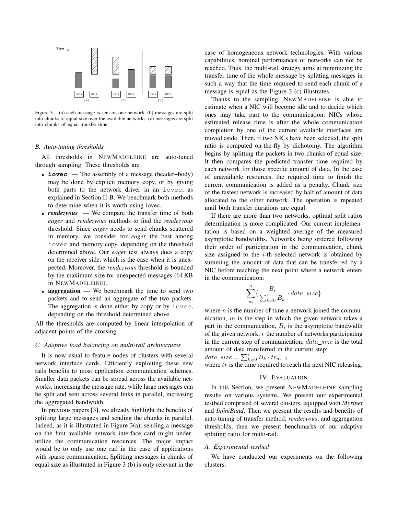

Figure 3. (a) each message is sent on one network. (b) messages are split into chunks of equal size over the available networks. (c) messages are split into chunks of equal transfer time.

#### *B. Auto-tuning thresholds*

All thresholds in NEWMADELEINE are auto-tuned through sampling. These thresholds are

- **iovec** The assembly of a message (header+body) may be done by explicit memory copy, or by giving both parts to the network driver in an iovec, as explained in Section II-B. We benchmark both methods to determine when it is worth using iovec.
- *rendezvous* We compare the transfer time of both *eager* and *rendezvous* methods to find the *rendezvous* threshold. Since *eager* needs to send chunks scattered in memory, we consider for *eager* the best among iovec and memory copy, depending on the threshold determined above. Our *eager* test always does a copy on the receiver side, which is the case when it is unexpected. Moreover, the *rendezvous* threshold is bounded by the maximum size for unexpected messages (64 KB in NEWMADELEINE).
- aggregation We benchmark the time to send two packets and to send an aggregate of the two packets. The aggregation is done either by copy or by iovec, depending on the threshold determined above.

All the thresholds are computed by linear interpolation of adjacent points of the crossing.

#### *C. Adaptive load balancing on multi-rail architectures*

It is now usual to feature nodes of clusters with several network interface cards. Efficiently exploiting these new rails benefits to most application communication schemes. Smaller data packets can be spread across the available networks, increasing the message rate, while large messages can be split and sent across several links in parallel, increasing the aggregated bandwidth.

In previous papers [3], we already highlight the benefits of splitting large messages and sending the chunks in parallel. Indeed, as it is illustrated in Figure 3(a), sending a message on the first available network interface card might underutilize the communication resources. The major impact would be to only use one rail in the case of applications with sparse communication. Splitting messages in chunks of equal size as illustrated in Figure 3 (b) is only relevant in the case of homogeneous network technologies. With various capabilities, nominal performances of networks can not be reached. Thus, the multi-rail strategy aims at minimizing the transfer time of the whole message by splitting messages in such a way that the time required to send each chunk of a message is equal as the Figure 3 (c) illustrates.

Thanks to the sampling, NEWMADELEINE is able to estimate when a NIC will become idle and to decide which ones may take part to the communication: NICs whose estimated release time is after the whole communication completion by one of the current available interfaces are moved aside. Then, if two NICs have been selected, the split ratio is computed on-the-fly by dichotomy. The algorithm begins by splitting the packets in two chunks of equal size. It then compares the predicted transfer time required by each network for those specific amount of data. In the case of unavailable resources, the required time to finish the current communication is added as a penalty. Chunk size of the fastest network is increased by half of amount of data allocated to the other network. The operation is repeated until both transfer durations are equal.

If there are more than two networks, optimal split ratios determination is more complicated. Our current implementation is based on a weighted average of the measured asymptotic bandwidths. Networks being ordered following their order of participation in the communication, chunk size assigned to the  $i$ -th selected network is obtained by summing the amount of data that can be transferred by a NIC before reaching the next point where a network enters in the communication:

$$
\sum_{m}^{n} \{ \frac{B_i}{\sum_{k=0}^{r} B_k} \cdot data\_size \}
$$

where  $n$  is the number of time a network joined the communication,  $m$  is the step in which the given network takes a part in the communication,  $B_i$  is the asymptotic bandwidth of the given network,  $r$  the number of networks participating in the current step of communication.  $data\_size$  is the total amount of data transferred in the current step:

 $data\_size = \sum_{k=0}^{r} B_k \cdot tr_{m+1}$ 

where  $tr$  is the time required to reach the next NIC releasing.

#### IV. EVALUATION

In this Section, we present NEWMADELEINE sampling results on various systems. We present our experimental testbed comprised of several clusters, equipped with *Myrinet* and *InfiniBand*. Then we present the results and benefits of auto-tuning of transfer method, *rendezvous*, and aggregation thresholds, then we present benchmarks of our adaptive splitting ratio for multi-rail.

#### *A. Experimental testbed*

We have conducted our experiments on the following clusters: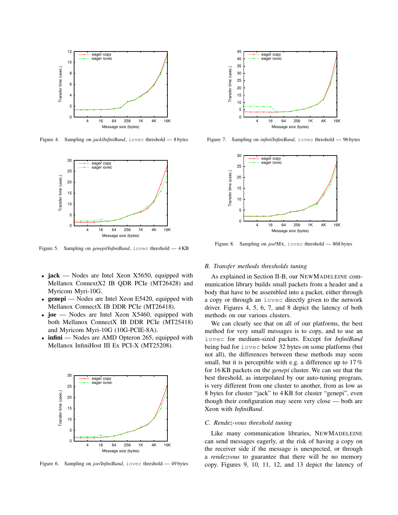

Figure 4. Sampling on *jack*/*InfiniBand*, iovec threshold — 8 bytes



Figure 5. Sampling on *genepi*/*InfiniBand*, iovec threshold — 4 KB

- jack Nodes are Intel Xeon X5650, equipped with Mellanox ConnextX2 IB QDR PCIe (MT26428) and Myricom Myri-10G.
- **genepi** Nodes are Intel Xeon E5420, equipped with Mellanox ConnectX IB DDR PCIe (MT26418).
- joe Nodes are Intel Xeon X5460, equipped with both Mellanox ConnectX IB DDR PCIe (MT25418) and Myricom Myri-10G (10G-PCIE-8A).
- infini Nodes are AMD Opteron 265, equipped with Mellanox InfiniHost III Ex PCI-X (MT25208).



Figure 6. Sampling on *joe*/*InfiniBand*, iovec threshold — 49 bytes



Figure 7. Sampling on *infini*/*InfiniBand*, iovec threshold — 96 bytes



Figure 8. Sampling on *joe*/MX, iovec threshold — 868 bytes

#### *B. Transfer methods thresholds tuning*

As explained in Section II-B, our NEWMADELEINE communication library builds small packets from a header and a body that have to be assembled into a packet, either through a copy or through an iovec directly given to the network driver. Figures 4, 5, 6, 7, and 8 depict the latency of both methods on our various clusters.

We can clearly see that on all of our platforms, the best method for very small messages is to copy, and to use an iovec for medium-sized packets. Except for *InfiniBand* being bad for iovec below 32 bytes on some platforms (but not all), the differences between these methods may seem small, but it is perceptible with e.g. a difference up to 17% for 16 KB packets on the *genepi* cluster. We can see that the best threshold, as interpolated by our auto-tuning program, is very different from one cluster to another, from as low as 8 bytes for cluster "jack" to 4 KB for cluster "genepi", even though their configuration may seem very close — both are Xeon with *InfiniBand*.

### *C. Rendez-vous threshold tuning*

Like many communication libraries, NEWMADELEINE can send messages eagerly, at the risk of having a copy on the receiver side if the message is unexpected, or through a *rendezvous* to guarantee that there will be no memory copy. Figures 9, 10, 11, 12, and 13 depict the latency of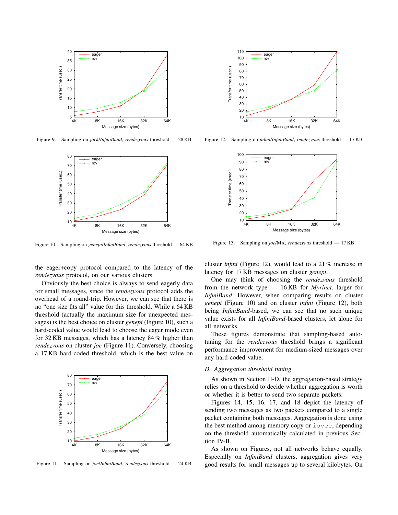

Figure 9. Sampling on *jack*/*InfiniBand*, *rendezvous* threshold — 28 KB



Figure 10. Sampling on *genepi*/*InfiniBand*, *rendezvous* threshold — 64 KB

the eager+copy protocol compared to the latency of the *rendezvous* protocol, on our various clusters.

Obviously the best choice is always to send eagerly data for small messages, since the *rendezvous* protocol adds the overhead of a round-trip. However, we can see that there is no "one size fits all" value for this threshold. While a 64 KB threshold (actually the maximum size for unexpected messages) is the best choice on cluster *genepi* (Figure 10), such a hard-coded value would lead to choose the eager mode even for 32 KB messages, which has a latency 84 % higher than *rendezvous* on cluster *joe* (Figure 11). Conversely, choosing a 17 KB hard-coded threshold, which is the best value on



Figure 11. Sampling on *joe*/*InfiniBand*, *rendezvous* threshold — 24 KB



Figure 12. Sampling on *infini*/*InfiniBand*, *rendezvous* threshold — 17 KB



Figure 13. Sampling on *joe*/MX, *rendezvous* threshold — 17 KB

cluster *infini* (Figure 12), would lead to a 21 % increase in latency for 17 KB messages on cluster *genepi*.

One may think of choosing the *rendezvous* threshold from the network type — 16 KB for *Myrinet*, larger for *InfiniBand*. However, when comparing results on cluster *genepi* (Figure 10) and on cluster *infini* (Figure 12), both being *InfiniBand*-based, we can see that no such unique value exists for all *InfiniBand*-based clusters, let alone for all networks.

These figures demonstrate that sampling-based autotuning for the *rendezvous* threshold brings a significant performance improvement for medium-sized messages over any hard-coded value.

# *D. Aggregation threshold tuning*

As shown in Section II-D, the aggregation-based strategy relies on a threshold to decide whether aggregation is worth or whether it is better to send two separate packets.

Figures 14, 15, 16, 17, and 18 depict the latency of sending two messages as two packets compared to a single packet containing both messages. Aggregation is done using the best method among memory copy or iovec, depending on the threshold automatically calculated in previous Section IV-B.

As shown on Figures, not all networks behave equally. Especially on *InfiniBand* clusters, aggregation gives very good results for small messages up to several kilobytes. On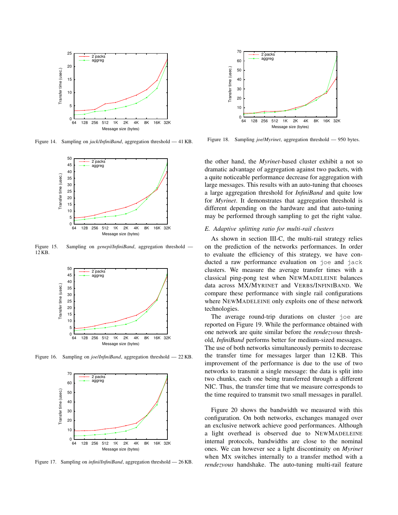

Figure 14. Sampling on *jack*/*InfiniBand*, aggregation threshold — 41 KB.



Figure 15. Sampling on *genepi*/*InfiniBand*, aggregation threshold — 12 KB.



Figure 16. Sampling on *joe*/*InfiniBand*, aggregation threshold — 22 KB.



Figure 17. Sampling on *infini*/*InfiniBand*, aggregation threshold — 26 KB.



Figure 18. Sampling *joe*/*Myrinet*, aggregation threshold — 950 bytes.

the other hand, the *Myrinet*-based cluster exhibit a not so dramatic advantage of aggregation against two packets, with a quite noticeable performance decrease for aggregation with large messages. This results with an auto-tuning that chooses a large aggregation threshold for *InfiniBand* and quite low for *Myrinet*. It demonstrates that aggregation threshold is different depending on the hardware and that auto-tuning may be performed through sampling to get the right value.

# *E. Adaptive splitting ratio for multi-rail clusters*

As shown in section III-C, the multi-rail strategy relies on the prediction of the networks performances. In order to evaluate the efficiency of this strategy, we have conducted a raw performance evaluation on joe and jack clusters. We measure the average transfer times with a classical ping-pong test when NEWMADELEINE balances data across MX/MYRINET and VERBS/INFINIBAND. We compare these performance with single rail configurations where NEWMADELEINE only exploits one of these network technologies.

The average round-trip durations on cluster joe are reported on Figure 19. While the performance obtained with one network are quite similar before the *rendezvous* threshold, *InfiniBand* performs better for medium-sized messages. The use of both networks simultaneously permits to decrease the transfer time for messages larger than 12 KB. This improvement of the performance is due to the use of two networks to transmit a single message: the data is split into two chunks, each one being transferred through a different NIC. Thus, the transfer time that we measure corresponds to the time required to transmit two small messages in parallel.

Figure 20 shows the bandwidth we measured with this configuration. On both networks, exchanges managed over an exclusive network achieve good performances. Although a light overhead is observed due to NEWMADELEINE internal protocols, bandwidths are close to the nominal ones. We can however see a light discontinuity on *Myrinet* when MX switches internally to a transfer method with a *rendezvous* handshake. The auto-tuning multi-rail feature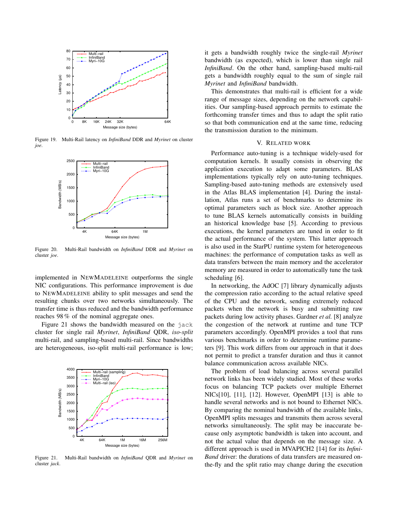

Figure 19. Multi-Rail latency on *InfiniBand* DDR and *Myrinet* on cluster *joe*.



Figure 20. Multi-Rail bandwidth on *InfiniBand* DDR and *Myrinet* on cluster *joe*.

implemented in NEWMADELEINE outperforms the single NIC configurations. This performance improvement is due to NEWMADELEINE ability to split messages and send the resulting chunks over two networks simultaneously. The transfer time is thus reduced and the bandwidth performance reaches 98 % of the nominal aggregate ones.

Figure 21 shows the bandwidth measured on the jack cluster for single rail *Myrinet*, *InfiniBand* QDR, *iso-split* multi-rail, and sampling-based multi-rail. Since bandwidths are heterogeneous, iso-split multi-rail performance is low;



Figure 21. Multi-Rail bandwidth on *InfiniBand* QDR and *Myrinet* on cluster *jack*.

it gets a bandwidth roughly twice the single-rail *Myrinet* bandwidth (as expected), which is lower than single rail *InfiniBand*. On the other hand, sampling-based multi-rail gets a bandwidth roughly equal to the sum of single rail *Myrinet* and *InfiniBand* bandwidth.

This demonstrates that multi-rail is efficient for a wide range of message sizes, depending on the network capabilities. Our sampling-based approach permits to estimate the forthcoming transfer times and thus to adapt the split ratio so that both communication end at the same time, reducing the transmission duration to the minimum.

# V. RELATED WORK

Performance auto-tuning is a technique widely-used for computation kernels. It usually consists in observing the application execution to adapt some parameters. BLAS implementations typically rely on auto-tuning techniques. Sampling-based auto-tuning methods are extensively used in the Atlas BLAS implementation [4]. During the installation, Atlas runs a set of benchmarks to determine its optimal parameters such as block size. Another approach to tune BLAS kernels automatically consists in building an historical knowledge base [5]. According to previous executions, the kernel parameters are tuned in order to fit the actual performance of the system. This latter approach is also used in the StarPU runtime system for heterogeneous machines: the performance of computation tasks as well as data transfers between the main memory and the accelerator memory are measured in order to automatically tune the task scheduling [6].

In networking, the AdOC [7] library dynamically adjusts the compression ratio according to the actual relative speed of the CPU and the network, sending extremely reduced packets when the network is busy and submitting raw packets during low activity phases. Gardner *et al.* [8] analyze the congestion of the network at runtime and tune TCP parameters accordingly. OpenMPI provides a tool that runs various benchmarks in order to determine runtime parameters [9]. This work differs from our approach in that it does not permit to predict a transfer duration and thus it cannot balance communication across available NICs.

The problem of load balancing across several parallel network links has been widely studied. Most of these works focus on balancing TCP packets over multiple Ethernet NICs[10], [11], [12]. However, OpenMPI [13] is able to handle several networks and is not bound to Ethernet NICs. By comparing the nominal bandwidth of the available links, OpenMPI splits messages and transmits them across several networks simultaneously. The split may be inaccurate because only asymptotic bandwidth is taken into account, and not the actual value that depends on the message size. A different approach is used in MVAPICH2 [14] for its *Infini-Band* driver: the durations of data transfers are measured onthe-fly and the split ratio may change during the execution